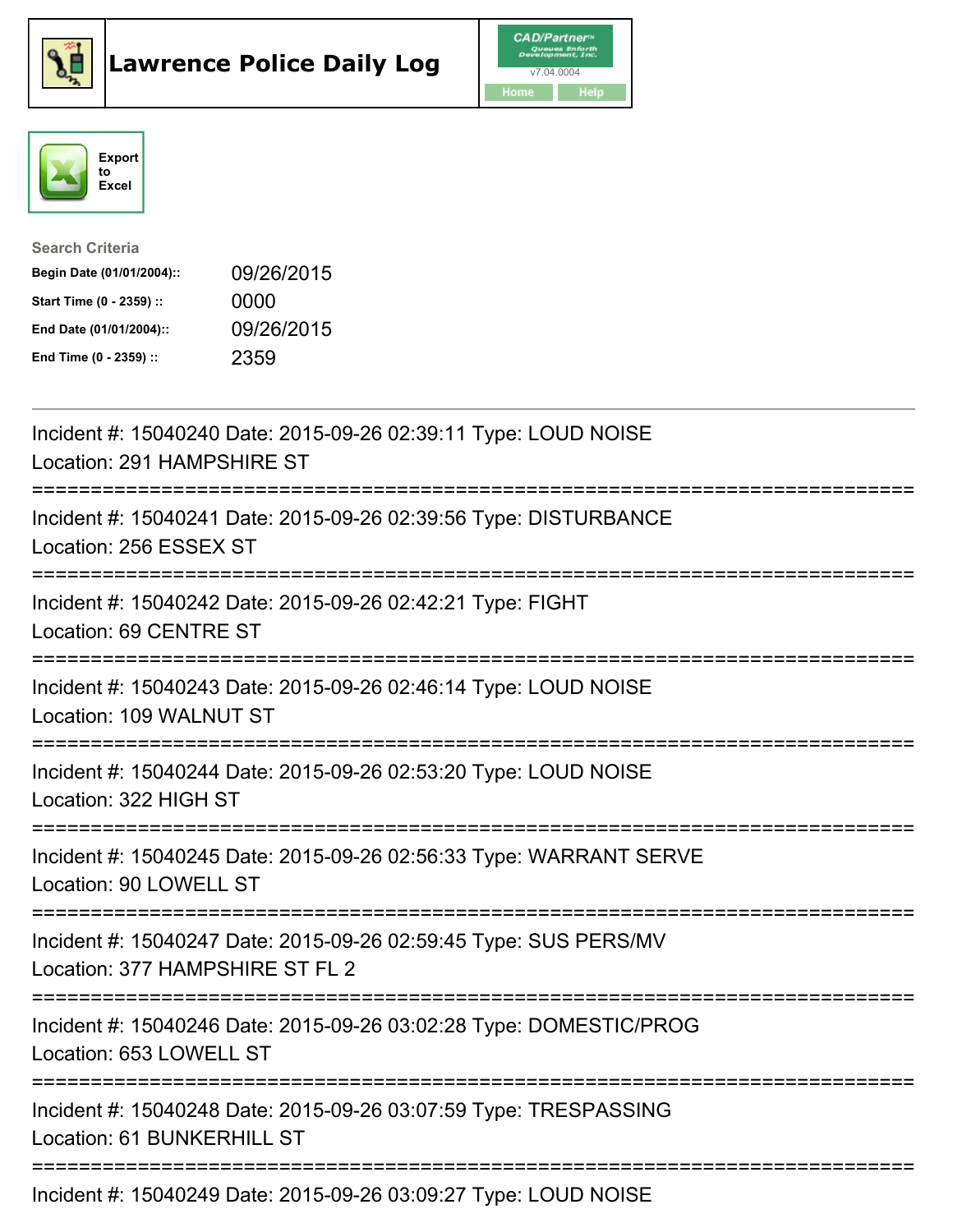





| <b>Search Criteria</b>    |            |
|---------------------------|------------|
| Begin Date (01/01/2004):: | 09/26/2015 |
| Start Time (0 - 2359) ::  | 0000       |
| End Date (01/01/2004)::   | 09/26/2015 |
| End Time (0 - 2359) ::    | 2359       |

| Incident #: 15040240 Date: 2015-09-26 02:39:11 Type: LOUD NOISE<br>Location: 291 HAMPSHIRE ST<br>:=============                                        |
|--------------------------------------------------------------------------------------------------------------------------------------------------------|
| Incident #: 15040241 Date: 2015-09-26 02:39:56 Type: DISTURBANCE<br>Location: 256 ESSEX ST<br>=================                                        |
| Incident #: 15040242 Date: 2015-09-26 02:42:21 Type: FIGHT<br>Location: 69 CENTRE ST<br>:=========================<br>-------------------------------- |
| Incident #: 15040243 Date: 2015-09-26 02:46:14 Type: LOUD NOISE<br>Location: 109 WALNUT ST                                                             |
| Incident #: 15040244 Date: 2015-09-26 02:53:20 Type: LOUD NOISE<br>Location: 322 HIGH ST                                                               |
| Incident #: 15040245 Date: 2015-09-26 02:56:33 Type: WARRANT SERVE<br>Location: 90 LOWELL ST                                                           |
| Incident #: 15040247 Date: 2015-09-26 02:59:45 Type: SUS PERS/MV<br>Location: 377 HAMPSHIRE ST FL 2                                                    |
| Incident #: 15040246 Date: 2015-09-26 03:02:28 Type: DOMESTIC/PROG<br>Location: 653 LOWELL ST                                                          |
| Incident #: 15040248 Date: 2015-09-26 03:07:59 Type: TRESPASSING<br>Location: 61 BUNKERHILL ST                                                         |
| Incident #: 15040249 Date: 2015-09-26 03:09:27 Type: LOUD NOISE                                                                                        |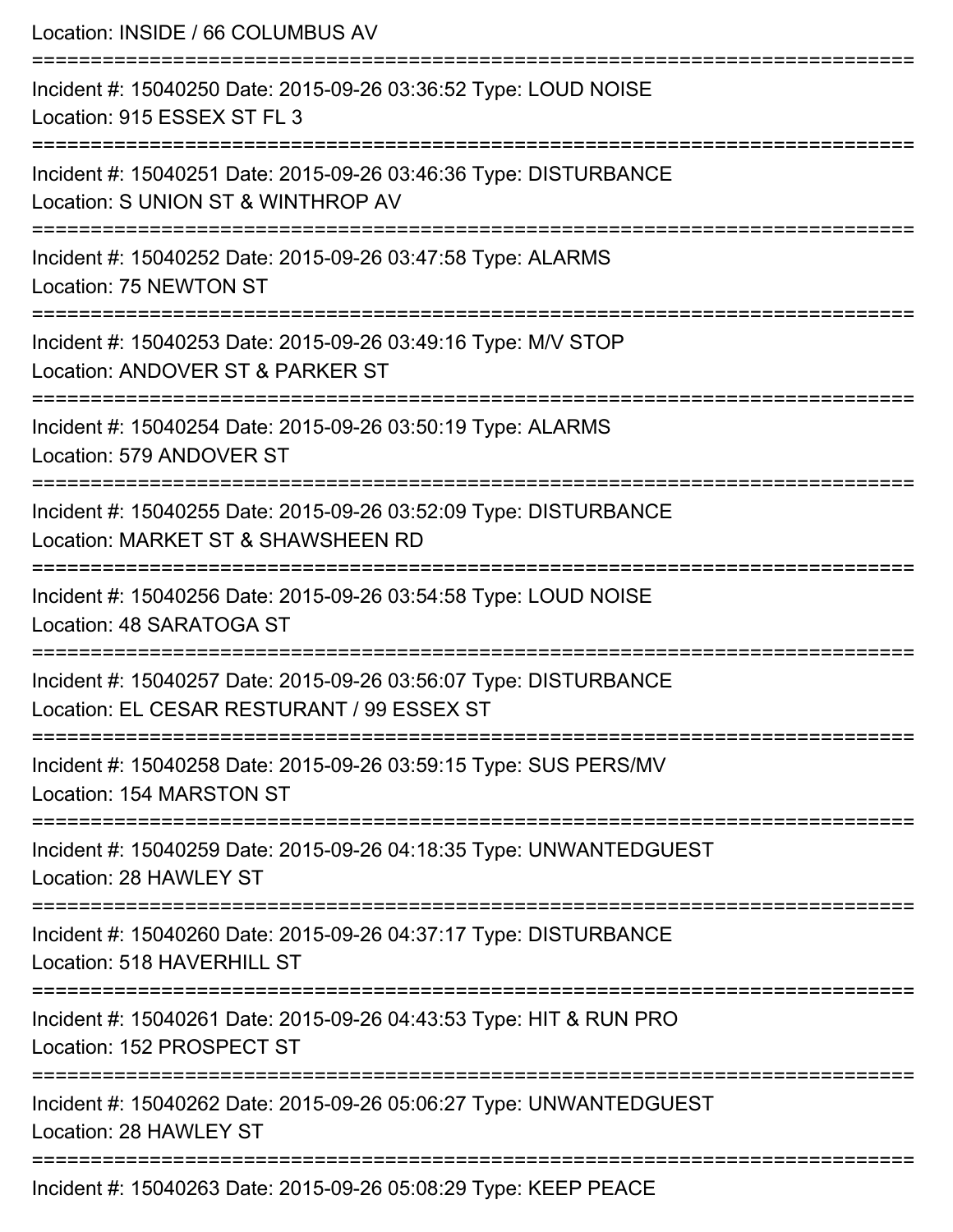| Location: INSIDE / 66 COLUMBUS AV                                                                                       |
|-------------------------------------------------------------------------------------------------------------------------|
| Incident #: 15040250 Date: 2015-09-26 03:36:52 Type: LOUD NOISE<br>Location: 915 ESSEX ST FL 3                          |
| Incident #: 15040251 Date: 2015-09-26 03:46:36 Type: DISTURBANCE<br>Location: S UNION ST & WINTHROP AV                  |
| Incident #: 15040252 Date: 2015-09-26 03:47:58 Type: ALARMS<br>Location: 75 NEWTON ST                                   |
| Incident #: 15040253 Date: 2015-09-26 03:49:16 Type: M/V STOP<br>Location: ANDOVER ST & PARKER ST<br>================== |
| Incident #: 15040254 Date: 2015-09-26 03:50:19 Type: ALARMS<br>Location: 579 ANDOVER ST                                 |
| Incident #: 15040255 Date: 2015-09-26 03:52:09 Type: DISTURBANCE<br>Location: MARKET ST & SHAWSHEEN RD                  |
| Incident #: 15040256 Date: 2015-09-26 03:54:58 Type: LOUD NOISE<br>Location: 48 SARATOGA ST                             |
| Incident #: 15040257 Date: 2015-09-26 03:56:07 Type: DISTURBANCE<br>Location: EL CESAR RESTURANT / 99 ESSEX ST          |
| Incident #: 15040258 Date: 2015-09-26 03:59:15 Type: SUS PERS/MV<br>Location: 154 MARSTON ST                            |
| Incident #: 15040259 Date: 2015-09-26 04:18:35 Type: UNWANTEDGUEST<br>Location: 28 HAWLEY ST                            |
| Incident #: 15040260 Date: 2015-09-26 04:37:17 Type: DISTURBANCE<br>Location: 518 HAVERHILL ST                          |
| Incident #: 15040261 Date: 2015-09-26 04:43:53 Type: HIT & RUN PRO<br>Location: 152 PROSPECT ST                         |
| Incident #: 15040262 Date: 2015-09-26 05:06:27 Type: UNWANTEDGUEST<br>Location: 28 HAWLEY ST                            |
| Incident #: 15040263 Date: 2015-09-26 05:08:29 Type: KEEP PEACE                                                         |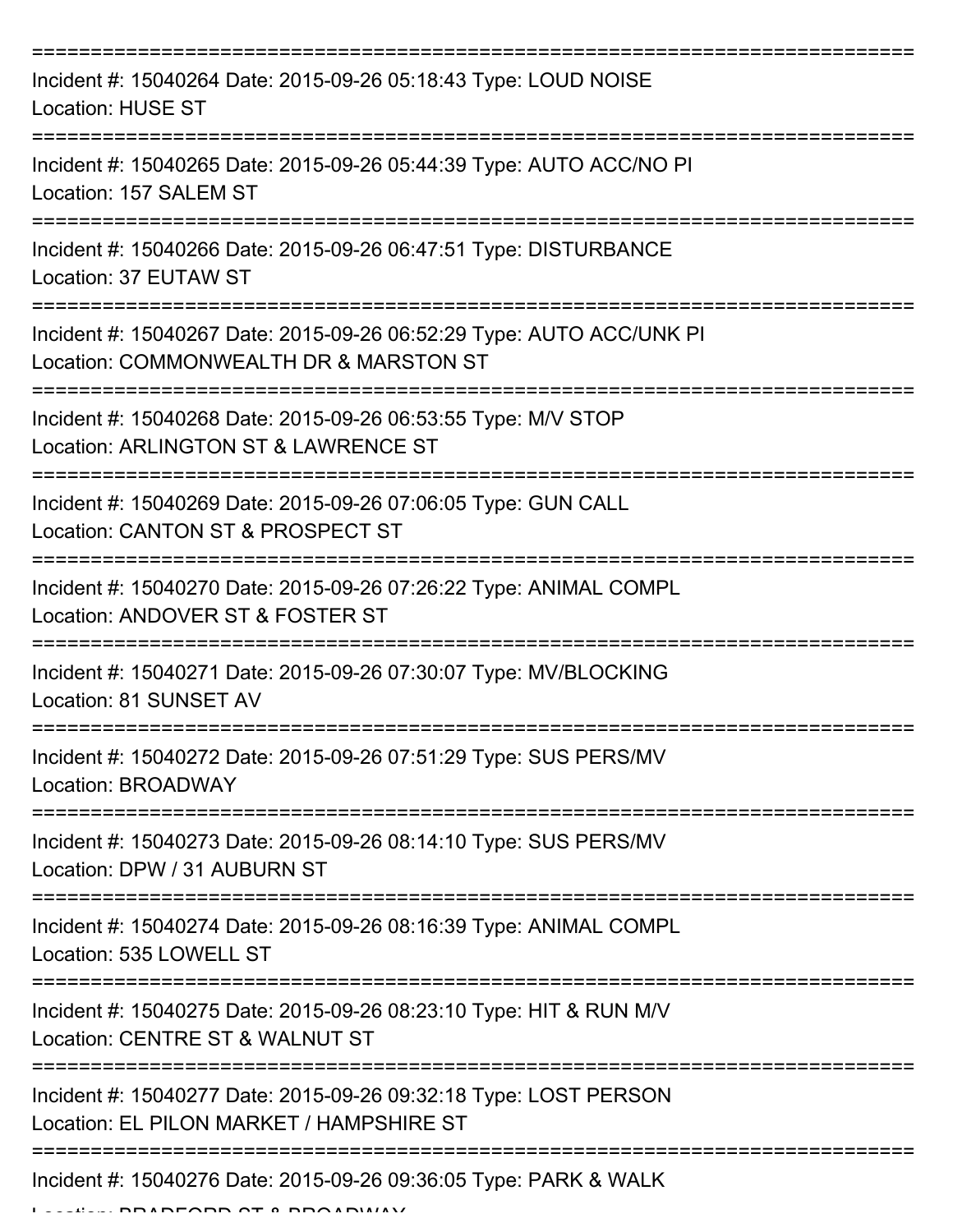| Incident #: 15040264 Date: 2015-09-26 05:18:43 Type: LOUD NOISE<br><b>Location: HUSE ST</b>                    |
|----------------------------------------------------------------------------------------------------------------|
| Incident #: 15040265 Date: 2015-09-26 05:44:39 Type: AUTO ACC/NO PI<br>Location: 157 SALEM ST                  |
| Incident #: 15040266 Date: 2015-09-26 06:47:51 Type: DISTURBANCE<br>Location: 37 EUTAW ST                      |
| Incident #: 15040267 Date: 2015-09-26 06:52:29 Type: AUTO ACC/UNK PI<br>Location: COMMONWEALTH DR & MARSTON ST |
| Incident #: 15040268 Date: 2015-09-26 06:53:55 Type: M/V STOP<br>Location: ARLINGTON ST & LAWRENCE ST          |
| Incident #: 15040269 Date: 2015-09-26 07:06:05 Type: GUN CALL<br>Location: CANTON ST & PROSPECT ST             |
| Incident #: 15040270 Date: 2015-09-26 07:26:22 Type: ANIMAL COMPL<br>Location: ANDOVER ST & FOSTER ST          |
| Incident #: 15040271 Date: 2015-09-26 07:30:07 Type: MV/BLOCKING<br>Location: 81 SUNSET AV                     |
| Incident #: 15040272 Date: 2015-09-26 07:51:29 Type: SUS PERS/MV<br>Location: BROADWAY                         |
| Incident #: 15040273 Date: 2015-09-26 08:14:10 Type: SUS PERS/MV<br>Location: DPW / 31 AUBURN ST               |
| Incident #: 15040274 Date: 2015-09-26 08:16:39 Type: ANIMAL COMPL<br>Location: 535 LOWELL ST                   |
| Incident #: 15040275 Date: 2015-09-26 08:23:10 Type: HIT & RUN M/V<br>Location: CENTRE ST & WALNUT ST          |
| Incident #: 15040277 Date: 2015-09-26 09:32:18 Type: LOST PERSON<br>Location: EL PILON MARKET / HAMPSHIRE ST   |
| Incident #: 15040276 Date: 2015-09-26 09:36:05 Type: PARK & WALK                                               |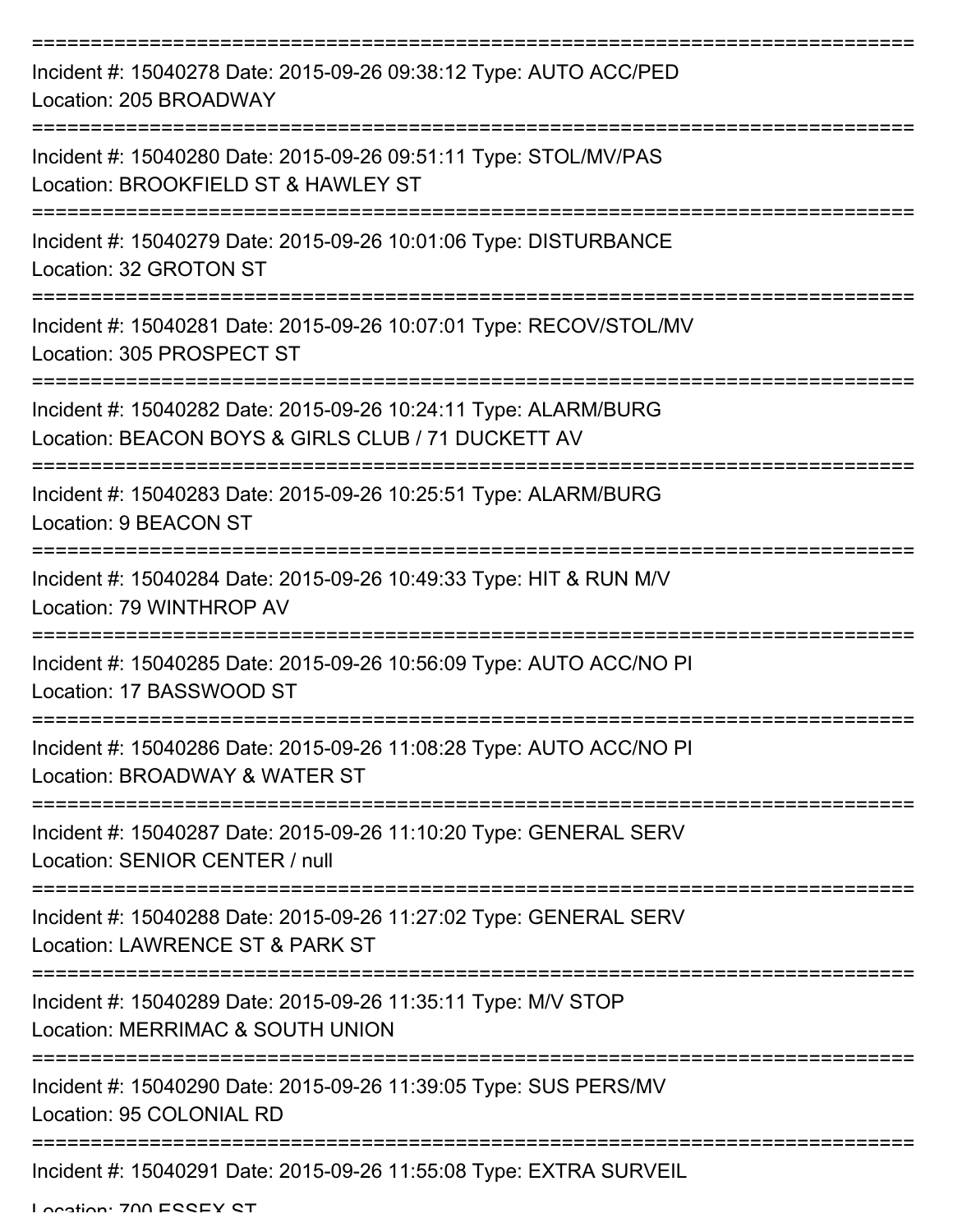| Incident #: 15040278 Date: 2015-09-26 09:38:12 Type: AUTO ACC/PED<br>Location: 205 BROADWAY                                                              |
|----------------------------------------------------------------------------------------------------------------------------------------------------------|
| Incident #: 15040280 Date: 2015-09-26 09:51:11 Type: STOL/MV/PAS<br>Location: BROOKFIELD ST & HAWLEY ST                                                  |
| Incident #: 15040279 Date: 2015-09-26 10:01:06 Type: DISTURBANCE<br>Location: 32 GROTON ST                                                               |
| Incident #: 15040281 Date: 2015-09-26 10:07:01 Type: RECOV/STOL/MV<br>Location: 305 PROSPECT ST                                                          |
| Incident #: 15040282 Date: 2015-09-26 10:24:11 Type: ALARM/BURG<br>Location: BEACON BOYS & GIRLS CLUB / 71 DUCKETT AV<br>------------------------------- |
| Incident #: 15040283 Date: 2015-09-26 10:25:51 Type: ALARM/BURG<br>Location: 9 BEACON ST                                                                 |
| Incident #: 15040284 Date: 2015-09-26 10:49:33 Type: HIT & RUN M/V<br>Location: 79 WINTHROP AV                                                           |
| Incident #: 15040285 Date: 2015-09-26 10:56:09 Type: AUTO ACC/NO PI<br>Location: 17 BASSWOOD ST                                                          |
| Incident #: 15040286 Date: 2015-09-26 11:08:28 Type: AUTO ACC/NO PI<br>Location: BROADWAY & WATER ST                                                     |
| Incident #: 15040287 Date: 2015-09-26 11:10:20 Type: GENERAL SERV<br>Location: SENIOR CENTER / null                                                      |
| Incident #: 15040288 Date: 2015-09-26 11:27:02 Type: GENERAL SERV<br>Location: LAWRENCE ST & PARK ST                                                     |
| Incident #: 15040289 Date: 2015-09-26 11:35:11 Type: M/V STOP<br>Location: MERRIMAC & SOUTH UNION                                                        |
| Incident #: 15040290 Date: 2015-09-26 11:39:05 Type: SUS PERS/MV<br>Location: 95 COLONIAL RD                                                             |
| Incident #: 15040291 Date: 2015-09-26 11:55:08 Type: EXTRA SURVEIL                                                                                       |

Location: 700 ESSEY ST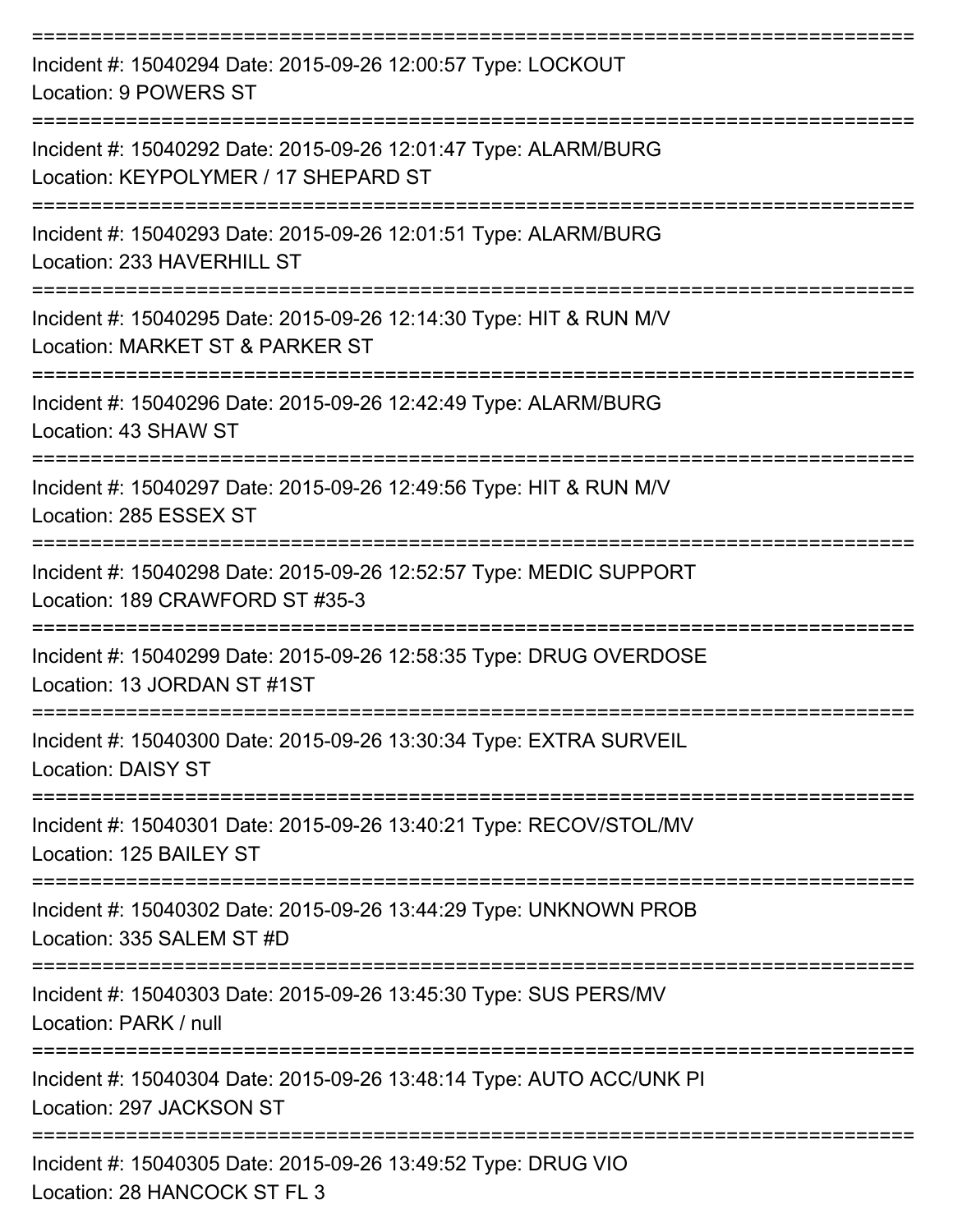| Incident #: 15040294 Date: 2015-09-26 12:00:57 Type: LOCKOUT<br>Location: 9 POWERS ST                   |
|---------------------------------------------------------------------------------------------------------|
| Incident #: 15040292 Date: 2015-09-26 12:01:47 Type: ALARM/BURG<br>Location: KEYPOLYMER / 17 SHEPARD ST |
| Incident #: 15040293 Date: 2015-09-26 12:01:51 Type: ALARM/BURG<br>Location: 233 HAVERHILL ST           |
| Incident #: 15040295 Date: 2015-09-26 12:14:30 Type: HIT & RUN M/V<br>Location: MARKET ST & PARKER ST   |
| Incident #: 15040296 Date: 2015-09-26 12:42:49 Type: ALARM/BURG<br>Location: 43 SHAW ST                 |
| Incident #: 15040297 Date: 2015-09-26 12:49:56 Type: HIT & RUN M/V<br>Location: 285 ESSEX ST            |
| Incident #: 15040298 Date: 2015-09-26 12:52:57 Type: MEDIC SUPPORT<br>Location: 189 CRAWFORD ST #35-3   |
| Incident #: 15040299 Date: 2015-09-26 12:58:35 Type: DRUG OVERDOSE<br>Location: 13 JORDAN ST #1ST       |
| Incident #: 15040300 Date: 2015-09-26 13:30:34 Type: EXTRA SURVEIL<br><b>Location: DAISY ST</b>         |
| Incident #: 15040301 Date: 2015-09-26 13:40:21 Type: RECOV/STOL/MV<br>Location: 125 BAILEY ST           |
| Incident #: 15040302 Date: 2015-09-26 13:44:29 Type: UNKNOWN PROB<br>Location: 335 SALEM ST #D          |
| Incident #: 15040303 Date: 2015-09-26 13:45:30 Type: SUS PERS/MV<br>Location: PARK / null               |
| Incident #: 15040304 Date: 2015-09-26 13:48:14 Type: AUTO ACC/UNK PI<br>Location: 297 JACKSON ST        |
| Incident #: 15040305 Date: 2015-09-26 13:49:52 Type: DRUG VIO<br>Location: 28 HANCOCK ST FL 3           |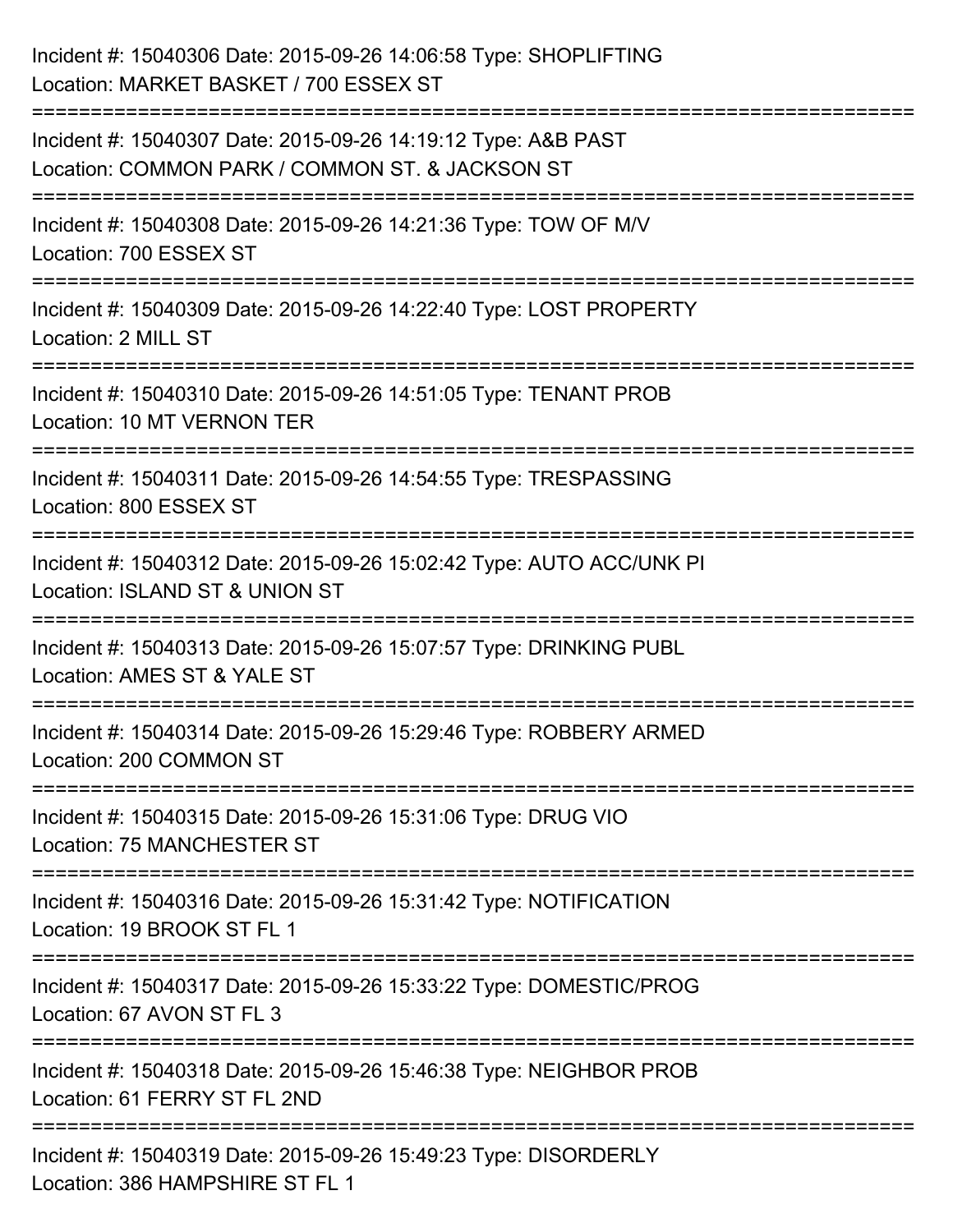| Incident #: 15040306 Date: 2015-09-26 14:06:58 Type: SHOPLIFTING<br>Location: MARKET BASKET / 700 ESSEX ST                                             |
|--------------------------------------------------------------------------------------------------------------------------------------------------------|
| ==================================<br>Incident #: 15040307 Date: 2015-09-26 14:19:12 Type: A&B PAST<br>Location: COMMON PARK / COMMON ST. & JACKSON ST |
| Incident #: 15040308 Date: 2015-09-26 14:21:36 Type: TOW OF M/V<br>Location: 700 ESSEX ST<br>:================================                         |
| Incident #: 15040309 Date: 2015-09-26 14:22:40 Type: LOST PROPERTY<br>Location: 2 MILL ST<br>-----------------------------------                       |
| Incident #: 15040310 Date: 2015-09-26 14:51:05 Type: TENANT PROB<br>Location: 10 MT VERNON TER                                                         |
| Incident #: 15040311 Date: 2015-09-26 14:54:55 Type: TRESPASSING<br>Location: 800 ESSEX ST                                                             |
| Incident #: 15040312 Date: 2015-09-26 15:02:42 Type: AUTO ACC/UNK PI<br>Location: ISLAND ST & UNION ST                                                 |
| Incident #: 15040313 Date: 2015-09-26 15:07:57 Type: DRINKING PUBL<br>Location: AMES ST & YALE ST                                                      |
| Incident #: 15040314 Date: 2015-09-26 15:29:46 Type: ROBBERY ARMED<br>Location: 200 COMMON ST                                                          |
| Incident #: 15040315 Date: 2015-09-26 15:31:06 Type: DRUG VIO<br><b>Location: 75 MANCHESTER ST</b>                                                     |
| Incident #: 15040316 Date: 2015-09-26 15:31:42 Type: NOTIFICATION<br>Location: 19 BROOK ST FL 1                                                        |
| Incident #: 15040317 Date: 2015-09-26 15:33:22 Type: DOMESTIC/PROG<br>Location: 67 AVON ST FL 3                                                        |
| Incident #: 15040318 Date: 2015-09-26 15:46:38 Type: NEIGHBOR PROB<br>Location: 61 FERRY ST FL 2ND                                                     |
| Incident #: 15040319 Date: 2015-09-26 15:49:23 Type: DISORDERLY<br>Location: 386 HAMPSHIRE ST FL 1                                                     |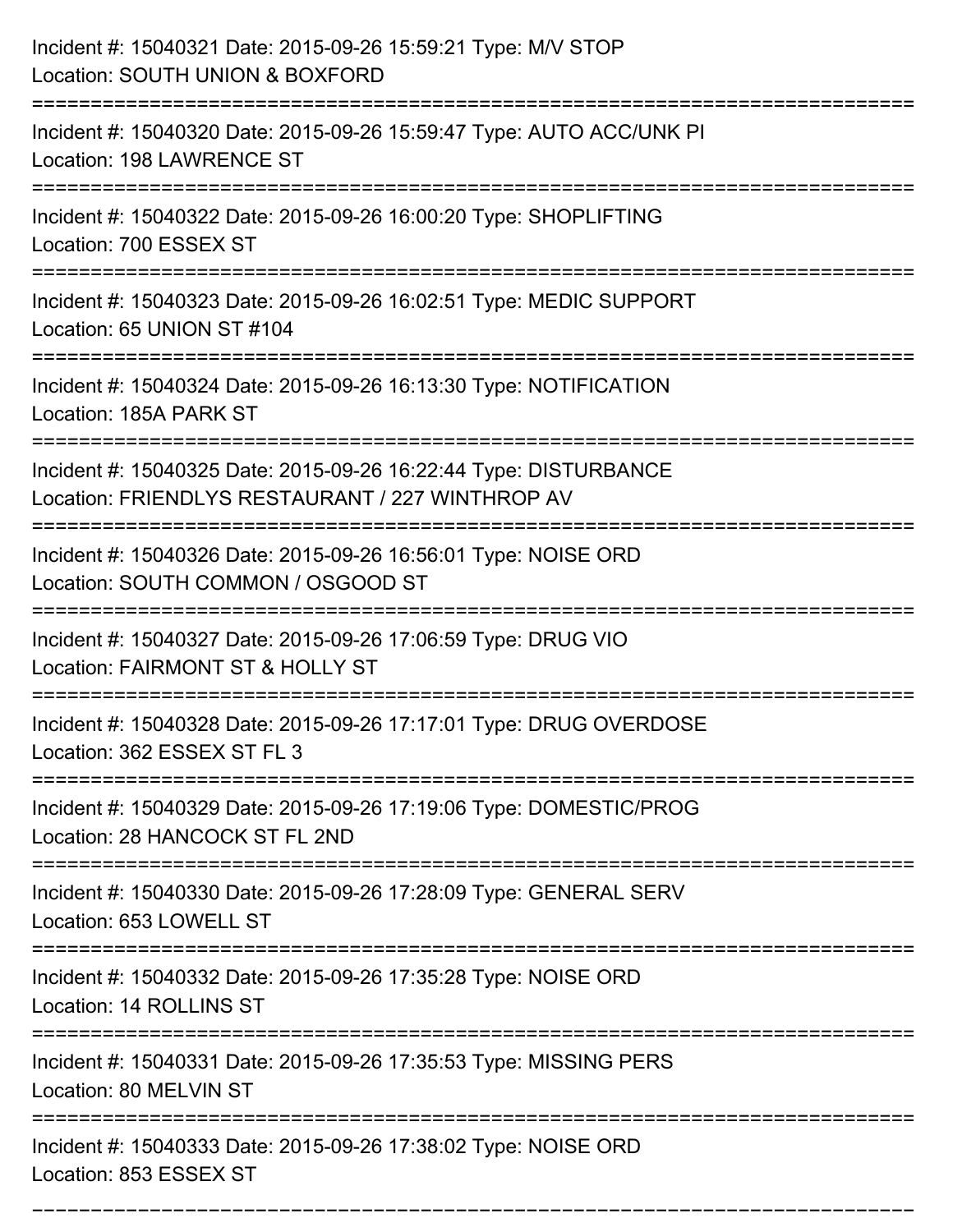| Incident #: 15040321 Date: 2015-09-26 15:59:21 Type: M/V STOP<br>Location: SOUTH UNION & BOXFORD                     |
|----------------------------------------------------------------------------------------------------------------------|
| Incident #: 15040320 Date: 2015-09-26 15:59:47 Type: AUTO ACC/UNK PI<br>Location: 198 LAWRENCE ST                    |
| Incident #: 15040322 Date: 2015-09-26 16:00:20 Type: SHOPLIFTING<br>Location: 700 ESSEX ST                           |
| Incident #: 15040323 Date: 2015-09-26 16:02:51 Type: MEDIC SUPPORT<br>Location: 65 UNION ST #104                     |
| Incident #: 15040324 Date: 2015-09-26 16:13:30 Type: NOTIFICATION<br>Location: 185A PARK ST                          |
| Incident #: 15040325 Date: 2015-09-26 16:22:44 Type: DISTURBANCE<br>Location: FRIENDLYS RESTAURANT / 227 WINTHROP AV |
| Incident #: 15040326 Date: 2015-09-26 16:56:01 Type: NOISE ORD<br>Location: SOUTH COMMON / OSGOOD ST                 |
| Incident #: 15040327 Date: 2015-09-26 17:06:59 Type: DRUG VIO<br>Location: FAIRMONT ST & HOLLY ST                    |
| Incident #: 15040328 Date: 2015-09-26 17:17:01 Type: DRUG OVERDOSE<br>Location: 362 ESSEX ST FL 3                    |
| Incident #: 15040329 Date: 2015-09-26 17:19:06 Type: DOMESTIC/PROG<br>Location: 28 HANCOCK ST FL 2ND                 |
| Incident #: 15040330 Date: 2015-09-26 17:28:09 Type: GENERAL SERV<br>Location: 653 LOWELL ST                         |
| Incident #: 15040332 Date: 2015-09-26 17:35:28 Type: NOISE ORD<br>Location: 14 ROLLINS ST                            |
| Incident #: 15040331 Date: 2015-09-26 17:35:53 Type: MISSING PERS<br>Location: 80 MELVIN ST                          |
| Incident #: 15040333 Date: 2015-09-26 17:38:02 Type: NOISE ORD<br>Location: 853 ESSEX ST                             |

===========================================================================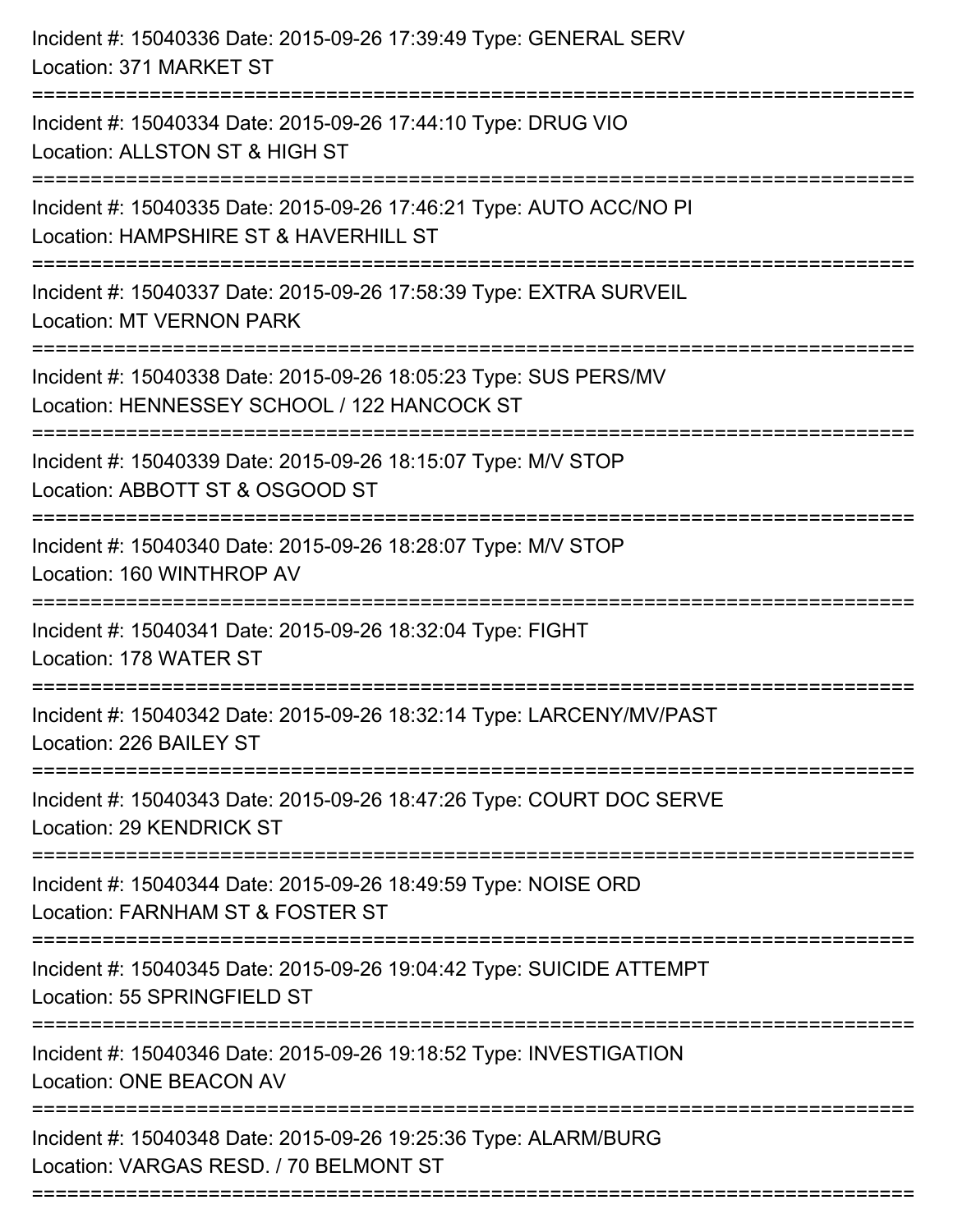| Incident #: 15040336 Date: 2015-09-26 17:39:49 Type: GENERAL SERV<br>Location: 371 MARKET ST<br>:==========================        |
|------------------------------------------------------------------------------------------------------------------------------------|
| Incident #: 15040334 Date: 2015-09-26 17:44:10 Type: DRUG VIO<br>Location: ALLSTON ST & HIGH ST                                    |
| Incident #: 15040335 Date: 2015-09-26 17:46:21 Type: AUTO ACC/NO PI<br>Location: HAMPSHIRE ST & HAVERHILL ST                       |
| Incident #: 15040337 Date: 2015-09-26 17:58:39 Type: EXTRA SURVEIL<br><b>Location: MT VERNON PARK</b>                              |
| Incident #: 15040338 Date: 2015-09-26 18:05:23 Type: SUS PERS/MV<br>Location: HENNESSEY SCHOOL / 122 HANCOCK ST                    |
| Incident #: 15040339 Date: 2015-09-26 18:15:07 Type: M/V STOP<br>Location: ABBOTT ST & OSGOOD ST                                   |
| Incident #: 15040340 Date: 2015-09-26 18:28:07 Type: M/V STOP<br>Location: 160 WINTHROP AV                                         |
| Incident #: 15040341 Date: 2015-09-26 18:32:04 Type: FIGHT<br>Location: 178 WATER ST                                               |
| Incident #: 15040342 Date: 2015-09-26 18:32:14 Type: LARCENY/MV/PAST<br>Location: 226 BAILEY ST                                    |
| Incident #: 15040343 Date: 2015-09-26 18:47:26 Type: COURT DOC SERVE<br><b>Location: 29 KENDRICK ST</b>                            |
| Incident #: 15040344 Date: 2015-09-26 18:49:59 Type: NOISE ORD<br>Location: FARNHAM ST & FOSTER ST                                 |
| ---------------------------<br>Incident #: 15040345 Date: 2015-09-26 19:04:42 Type: SUICIDE ATTEMPT<br>Location: 55 SPRINGFIELD ST |
| Incident #: 15040346 Date: 2015-09-26 19:18:52 Type: INVESTIGATION<br><b>Location: ONE BEACON AV</b>                               |
| Incident #: 15040348 Date: 2015-09-26 19:25:36 Type: ALARM/BURG<br>Location: VARGAS RESD, / 70 BELMONT ST                          |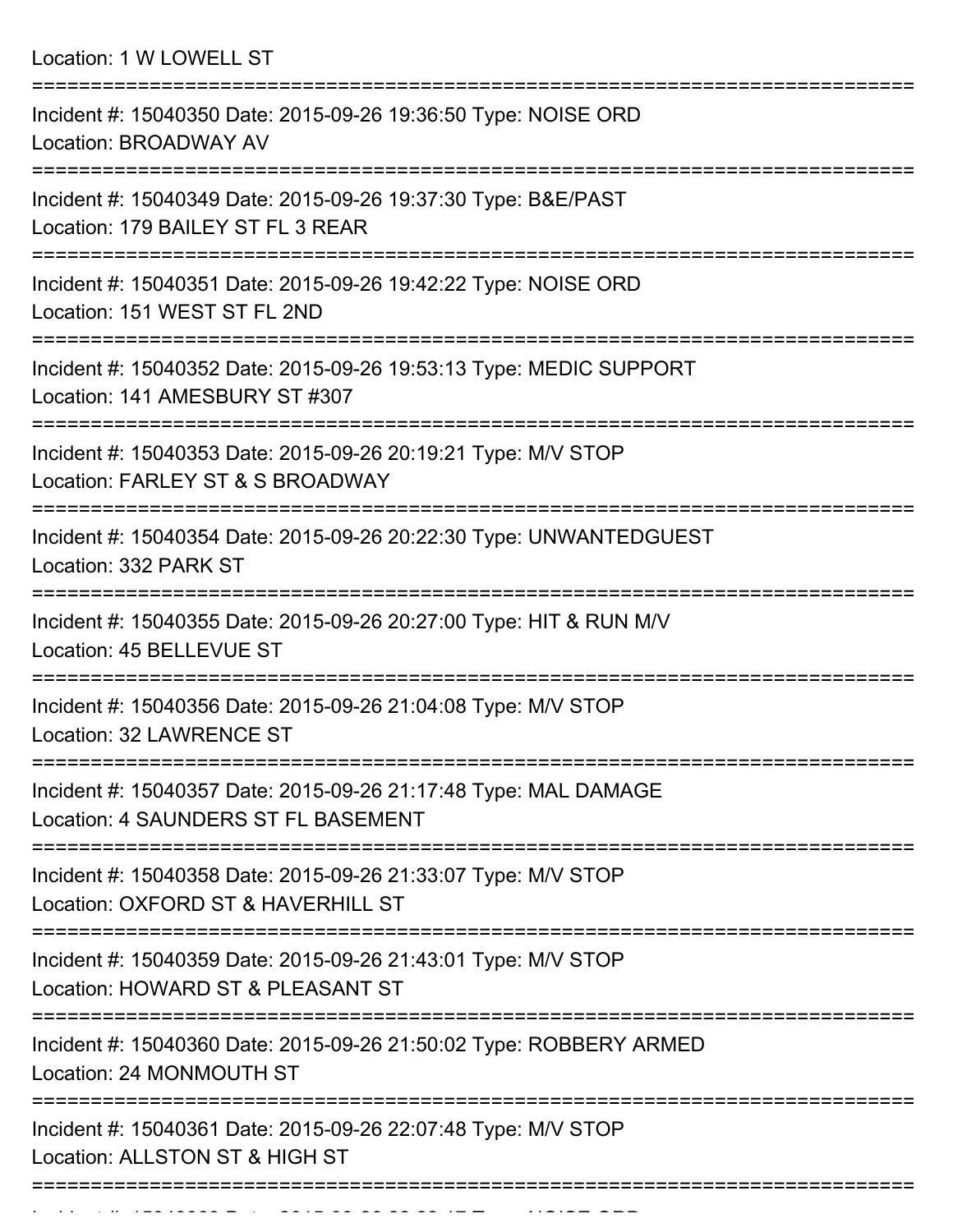Location: 1 W LOWELL ST

| Incident #: 15040350 Date: 2015-09-26 19:36:50 Type: NOISE ORD<br>Location: BROADWAY AV                |
|--------------------------------------------------------------------------------------------------------|
| Incident #: 15040349 Date: 2015-09-26 19:37:30 Type: B&E/PAST<br>Location: 179 BAILEY ST FL 3 REAR     |
| Incident #: 15040351 Date: 2015-09-26 19:42:22 Type: NOISE ORD<br>Location: 151 WEST ST FL 2ND         |
| Incident #: 15040352 Date: 2015-09-26 19:53:13 Type: MEDIC SUPPORT<br>Location: 141 AMESBURY ST #307   |
| Incident #: 15040353 Date: 2015-09-26 20:19:21 Type: M/V STOP<br>Location: FARLEY ST & S BROADWAY      |
| Incident #: 15040354 Date: 2015-09-26 20:22:30 Type: UNWANTEDGUEST<br>Location: 332 PARK ST            |
| Incident #: 15040355 Date: 2015-09-26 20:27:00 Type: HIT & RUN M/V<br>Location: 45 BELLEVUE ST         |
| Incident #: 15040356 Date: 2015-09-26 21:04:08 Type: M/V STOP<br>Location: 32 LAWRENCE ST              |
| Incident #: 15040357 Date: 2015-09-26 21:17:48 Type: MAL DAMAGE<br>Location: 4 SAUNDERS ST FL BASEMENT |
| Incident #: 15040358 Date: 2015-09-26 21:33:07 Type: M/V STOP<br>Location: OXFORD ST & HAVERHILL ST    |
| Incident #: 15040359 Date: 2015-09-26 21:43:01 Type: M/V STOP<br>Location: HOWARD ST & PLEASANT ST     |
| Incident #: 15040360 Date: 2015-09-26 21:50:02 Type: ROBBERY ARMED<br>Location: 24 MONMOUTH ST         |
| Incident #: 15040361 Date: 2015-09-26 22:07:48 Type: M/V STOP<br>Location: ALLSTON ST & HIGH ST        |
|                                                                                                        |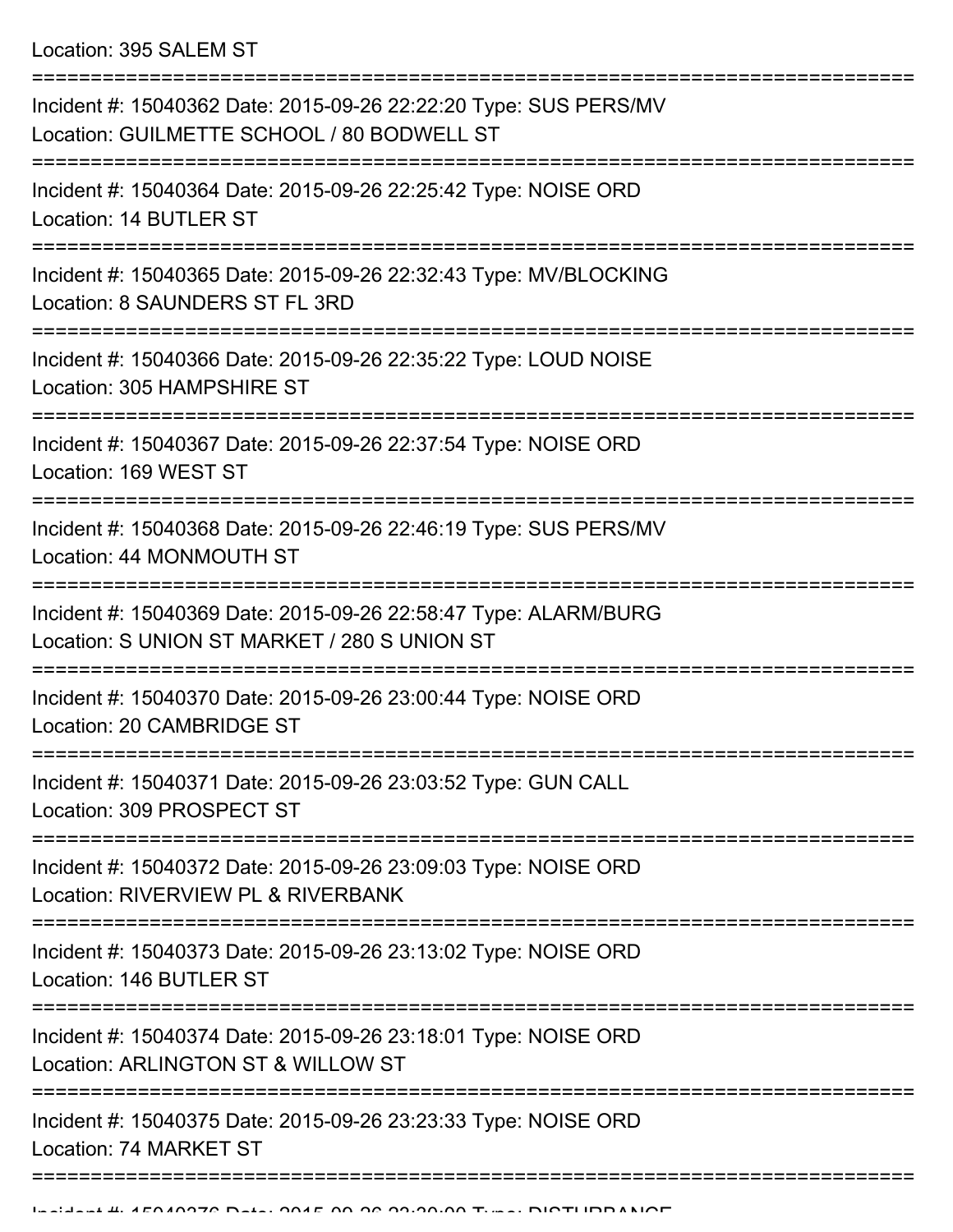| Incident #: 15040362 Date: 2015-09-26 22:22:20 Type: SUS PERS/MV<br>Location: GUILMETTE SCHOOL / 80 BODWELL ST  |
|-----------------------------------------------------------------------------------------------------------------|
| Incident #: 15040364 Date: 2015-09-26 22:25:42 Type: NOISE ORD<br>Location: 14 BUTLER ST                        |
| Incident #: 15040365 Date: 2015-09-26 22:32:43 Type: MV/BLOCKING<br>Location: 8 SAUNDERS ST FL 3RD              |
| Incident #: 15040366 Date: 2015-09-26 22:35:22 Type: LOUD NOISE<br>Location: 305 HAMPSHIRE ST                   |
| Incident #: 15040367 Date: 2015-09-26 22:37:54 Type: NOISE ORD<br>Location: 169 WEST ST                         |
| Incident #: 15040368 Date: 2015-09-26 22:46:19 Type: SUS PERS/MV<br>Location: 44 MONMOUTH ST                    |
| Incident #: 15040369 Date: 2015-09-26 22:58:47 Type: ALARM/BURG<br>Location: S UNION ST MARKET / 280 S UNION ST |
| Incident #: 15040370 Date: 2015-09-26 23:00:44 Type: NOISE ORD<br>Location: 20 CAMBRIDGE ST                     |
| Incident #: 15040371 Date: 2015-09-26 23:03:52 Type: GUN CALL<br>Location: 309 PROSPECT ST                      |
| Incident #: 15040372 Date: 2015-09-26 23:09:03 Type: NOISE ORD<br>Location: RIVERVIEW PL & RIVERBANK            |
| Incident #: 15040373 Date: 2015-09-26 23:13:02 Type: NOISE ORD<br>Location: 146 BUTLER ST                       |
| Incident #: 15040374 Date: 2015-09-26 23:18:01 Type: NOISE ORD<br>Location: ARLINGTON ST & WILLOW ST            |
| Incident #: 15040375 Date: 2015-09-26 23:23:33 Type: NOISE ORD<br>Location: 74 MARKET ST                        |
|                                                                                                                 |